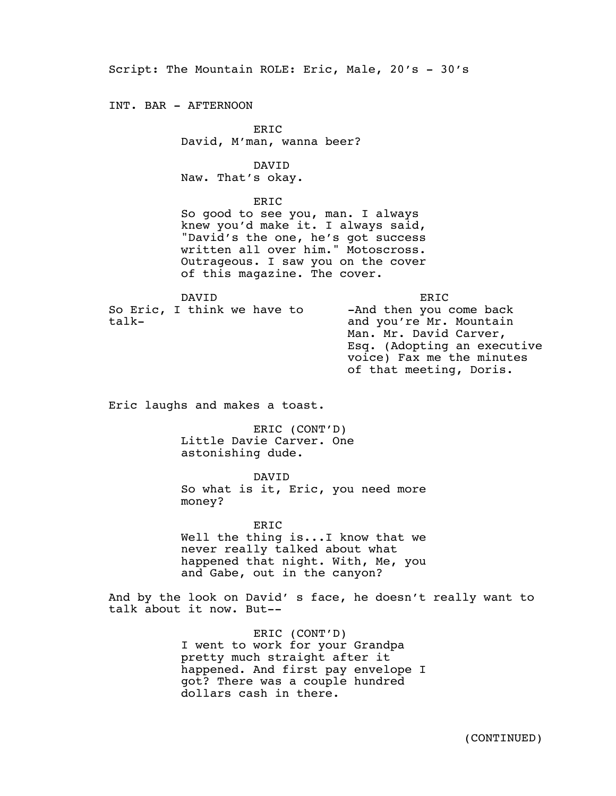Script: The Mountain ROLE: Eric, Male, 20's - 30's

INT. BAR - AFTERNOON

ERIC David, M'man, wanna beer?

DAVID Naw. That's okay.

ERIC

So good to see you, man. I always knew you'd make it. I always said, "David's the one, he's got success written all over him." Motoscross. Outrageous. I saw you on the cover of this magazine. The cover.

DAVID So Eric, I think we have to talk-

ERIC -And then you come back and you're Mr. Mountain Man. Mr. David Carver, Esq. (Adopting an executive voice) Fax me the minutes of that meeting, Doris.

Eric laughs and makes a toast.

ERIC (CONT'D) Little Davie Carver. One astonishing dude.

DAVID

So what is it, Eric, you need more money?

ERIC Well the thing is...I know that we never really talked about what happened that night. With, Me, you and Gabe, out in the canyon?

And by the look on David' s face, he doesn't really want to talk about it now. But--

> ERIC (CONT'D) I went to work for your Grandpa pretty much straight after it happened. And first pay envelope I got? There was a couple hundred dollars cash in there.

> > (CONTINUED)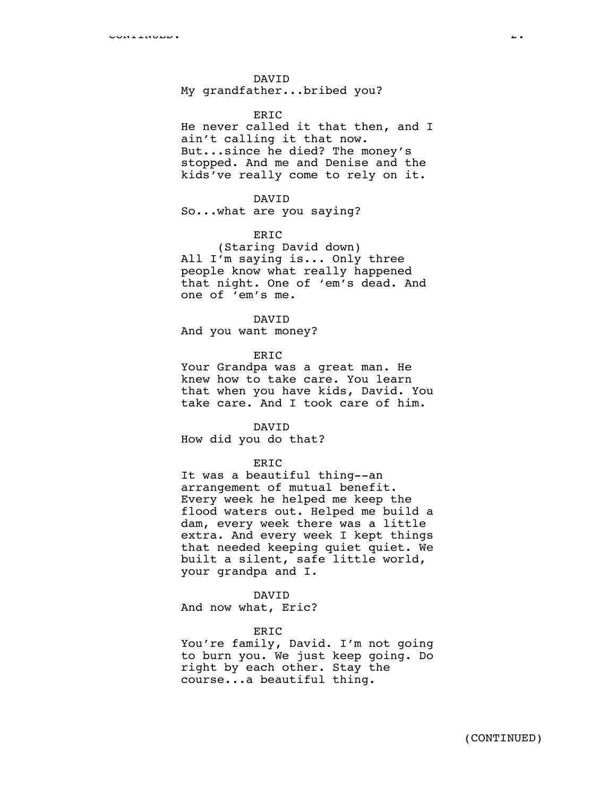## DAVID

My grandfather...bribed you?

## **ERTC**

He never called it that then, and I ain't calling it that now. But...since he died? The money's stopped. And me and Denise and the kids've really come to rely on it.

### DAVID

So...what are you saying?

# ERIC

(Staring David down) All I'm saying is... Only three people know what really happened that night. One of 'em's dead. And one of 'em's me.

### DAVID

And you want money?

## ERIC

Your Grandpa was a great man. He knew how to take care. You learn that when you have kids, David. You take care. And I took care of him.

#### DAVID

How did you do that?

### ERIC

It was a beautiful thing--an arrangement of mutual benefit. Every week he helped me keep the flood waters out. Helped me build a dam, every week there was a little extra. And every week I kept things that needed keeping quiet quiet. We built a silent, safe little world, your grandpa and I.

### DAVID

And now what, Eric?

#### ERIC

You're family, David. I'm not going to burn you. We just keep going. Do right by each other. Stay the course...a beautiful thing.